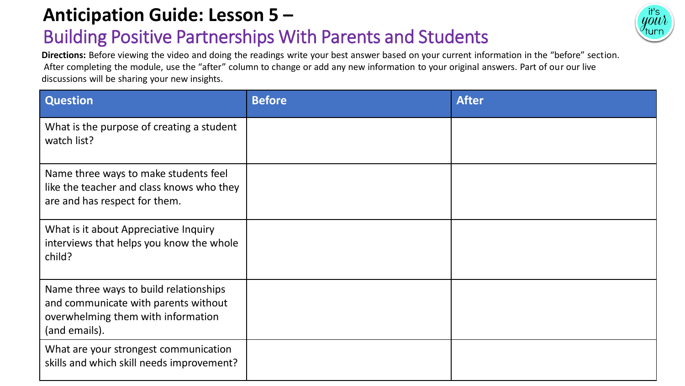### **Anticipation Guide: Lesson 5 –**

## Building Positive Partnerships With Parents and Students

**Directions:** Before viewing the video and doing the readings write your best answer based on your current information in the "before" section. After completing the module, use the "after" column to change or add any new information to your original answers. Part of our our live discussions will be sharing your new insights.

| <b>Question</b>                                                                                                                       | <b>Before</b> | <b>After</b> |
|---------------------------------------------------------------------------------------------------------------------------------------|---------------|--------------|
| What is the purpose of creating a student<br>watch list?                                                                              |               |              |
| Name three ways to make students feel<br>like the teacher and class knows who they<br>are and has respect for them.                   |               |              |
| What is it about Appreciative Inquiry<br>interviews that helps you know the whole<br>child?                                           |               |              |
| Name three ways to build relationships<br>and communicate with parents without<br>overwhelming them with information<br>(and emails). |               |              |
| What are your strongest communication<br>skills and which skill needs improvement?                                                    |               |              |

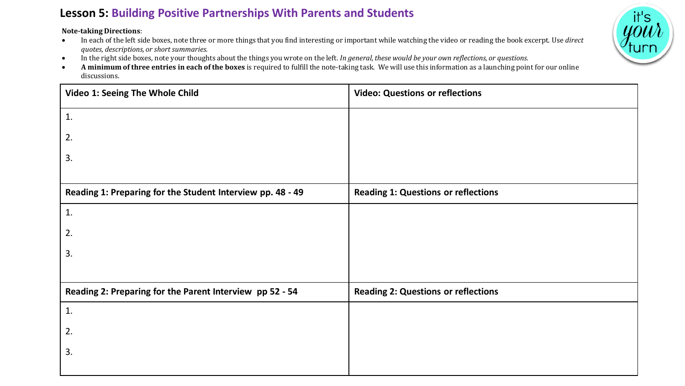#### **Lesson 5: Building Positive Partnerships With Parents and Students**

**Note-taking Directions**:

- In each of the left side boxes, note three or more things that you find interesting or important while watching the video or reading the book excerpt. Use *direct quotes, descriptions, or short summaries.*
- In the right side boxes, note your thoughts about the things you wrote on the left. *In general, these would be your own reflections, or questions.*
- **A minimum of three entries in each of the boxes** is required to fulfill the note-taking task. We will use this information as a launching point for our online discussions.

| Video 1: Seeing The Whole Child                            | <b>Video: Questions or reflections</b>     |
|------------------------------------------------------------|--------------------------------------------|
| 1.                                                         |                                            |
| 2.                                                         |                                            |
| 3.                                                         |                                            |
|                                                            |                                            |
| Reading 1: Preparing for the Student Interview pp. 48 - 49 | <b>Reading 1: Questions or reflections</b> |
| 1.                                                         |                                            |
| 2.                                                         |                                            |
| 3.                                                         |                                            |
|                                                            |                                            |
| Reading 2: Preparing for the Parent Interview pp 52 - 54   | <b>Reading 2: Questions or reflections</b> |
| 1.                                                         |                                            |
| 2.                                                         |                                            |
| 3.                                                         |                                            |
|                                                            |                                            |

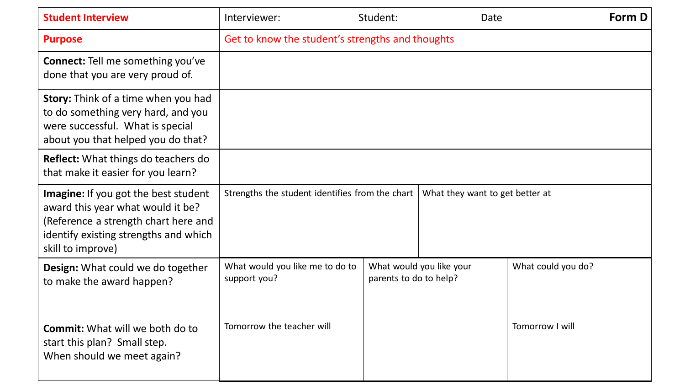| <b>Student Interview</b>                                                                                                                                                               | Interviewer:                                     | Student:               | Date                            |                    | Form D |
|----------------------------------------------------------------------------------------------------------------------------------------------------------------------------------------|--------------------------------------------------|------------------------|---------------------------------|--------------------|--------|
| <b>Purpose</b>                                                                                                                                                                         | Get to know the student's strengths and thoughts |                        |                                 |                    |        |
| <b>Connect:</b> Tell me something you've<br>done that you are very proud of.                                                                                                           |                                                  |                        |                                 |                    |        |
| <b>Story:</b> Think of a time when you had<br>to do something very hard, and you<br>were successful. What is special<br>about you that helped you do that?                             |                                                  |                        |                                 |                    |        |
| <b>Reflect:</b> What things do teachers do<br>that make it easier for you learn?                                                                                                       |                                                  |                        |                                 |                    |        |
| <b>Imagine:</b> If you got the best student<br>award this year what would it be?<br>(Reference a strength chart here and<br>identify existing strengths and which<br>skill to improve) | Strengths the student identifies from the chart  |                        | What they want to get better at |                    |        |
| Design: What could we do together<br>to make the award happen?                                                                                                                         | What would you like me to do to<br>support you?  | parents to do to help? | What would you like your        | What could you do? |        |
| <b>Commit:</b> What will we both do to<br>start this plan? Small step.<br>When should we meet again?                                                                                   | Tomorrow the teacher will                        |                        |                                 | Tomorrow I will    |        |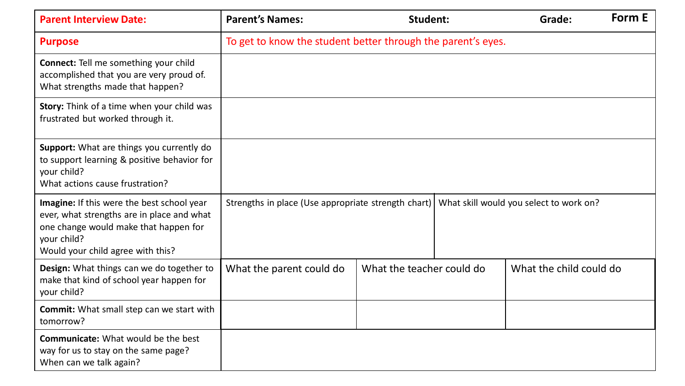| <b>Parent Interview Date:</b>                                                                                                                                                         | <b>Parent's Names:</b>                                       | <b>Student:</b>           |  | Grade:                                  | Form E |
|---------------------------------------------------------------------------------------------------------------------------------------------------------------------------------------|--------------------------------------------------------------|---------------------------|--|-----------------------------------------|--------|
| <b>Purpose</b>                                                                                                                                                                        | To get to know the student better through the parent's eyes. |                           |  |                                         |        |
| <b>Connect:</b> Tell me something your child<br>accomplished that you are very proud of.<br>What strengths made that happen?                                                          |                                                              |                           |  |                                         |        |
| Story: Think of a time when your child was<br>frustrated but worked through it.                                                                                                       |                                                              |                           |  |                                         |        |
| Support: What are things you currently do<br>to support learning & positive behavior for<br>your child?<br>What actions cause frustration?                                            |                                                              |                           |  |                                         |        |
| Imagine: If this were the best school year<br>ever, what strengths are in place and what<br>one change would make that happen for<br>your child?<br>Would your child agree with this? | Strengths in place (Use appropriate strength chart)          |                           |  | What skill would you select to work on? |        |
| Design: What things can we do together to<br>make that kind of school year happen for<br>your child?                                                                                  | What the parent could do                                     | What the teacher could do |  | What the child could do                 |        |
| <b>Commit:</b> What small step can we start with<br>tomorrow?                                                                                                                         |                                                              |                           |  |                                         |        |
| <b>Communicate:</b> What would be the best<br>way for us to stay on the same page?<br>When can we talk again?                                                                         |                                                              |                           |  |                                         |        |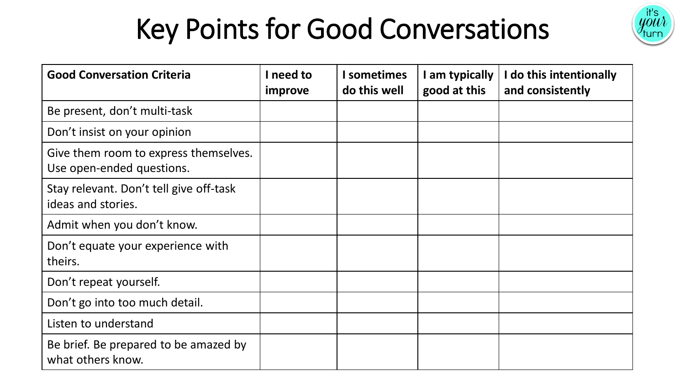# Key Points for Good Conversations



| <b>Good Conversation Criteria</b>                                  | need to<br>improve | <b>I</b> sometimes<br>do this well | I am typically<br>good at this | I do this intentionally<br>and consistently |
|--------------------------------------------------------------------|--------------------|------------------------------------|--------------------------------|---------------------------------------------|
| Be present, don't multi-task                                       |                    |                                    |                                |                                             |
| Don't insist on your opinion                                       |                    |                                    |                                |                                             |
| Give them room to express themselves.<br>Use open-ended questions. |                    |                                    |                                |                                             |
| Stay relevant. Don't tell give off-task<br>ideas and stories.      |                    |                                    |                                |                                             |
| Admit when you don't know.                                         |                    |                                    |                                |                                             |
| Don't equate your experience with<br>theirs.                       |                    |                                    |                                |                                             |
| Don't repeat yourself.                                             |                    |                                    |                                |                                             |
| Don't go into too much detail.                                     |                    |                                    |                                |                                             |
| Listen to understand                                               |                    |                                    |                                |                                             |
| Be brief. Be prepared to be amazed by<br>what others know.         |                    |                                    |                                |                                             |